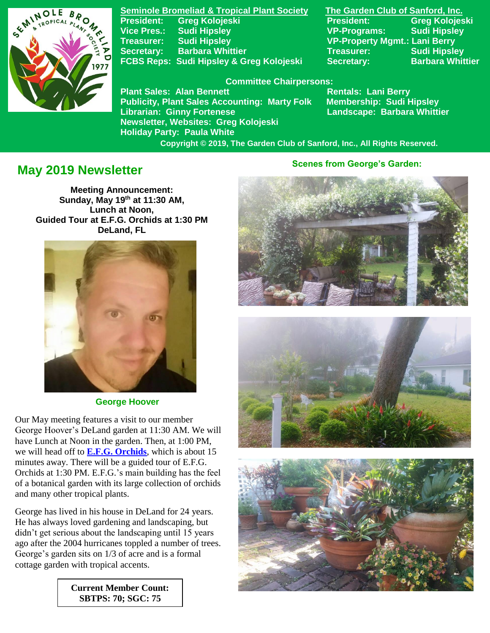

**Seminole Bromeliad & Tropical Plant Society The Garden Club of Sanford, Inc. President: Greg Kolojeski President: Greg Kolojeski Vice Pres.: Sudi Hipsley VP-Programs: Sudi Hipsley Treasurer: Sudi Hipsley VP-Property Mgmt.: Lani Berry Secretary:** Barbara Whittier **Network Treasurer:** Sudi Hipsley FCBS Reps: Sudi Hipsley & Greg Kolojeski Secretary: Barbara Whittier

#### **Committee Chairpersons:**

**Plant Sales: Alan Bennett** Rentals: Lani Berry **Publicity, Plant Sales Accounting: Marty Folk Membership: Sudi Hipsley** Librarian: Ginny Fortenese **Landscape: Barbara Whittier Newsletter, Websites: Greg Kolojeski Holiday Party: Paula White** 

 **Copyright © 2019, The Garden Club of Sanford, Inc., All Rights Reserved.**

# **May 2019 Newsletter**

**Meeting Announcement: Sunday, May 19th at 11:30 AM, Lunch at Noon, Guided Tour at E.F.G. Orchids at 1:30 PM DeLand, FL**



**George Hoover**

Our May meeting features a visit to our member George Hoover's DeLand garden at 11:30 AM. We will have Lunch at Noon in the garden. Then, at 1:00 PM, we will head off to **[E.F.G. Orchids](https://efgorchids.com/)**, which is about 15 minutes away. There will be a guided tour of E.F.G. Orchids at 1:30 PM. E.F.G.'s main building has the feel of a botanical garden with its large collection of orchids and many other tropical plants.

George has lived in his house in DeLand for 24 years. He has always loved gardening and landscaping, but didn't get serious about the landscaping until 15 years ago after the 2004 hurricanes toppled a number of trees. George's garden sits on 1/3 of acre and is a formal cottage garden with tropical accents.

## **Scenes from George's Garden:**







**Current Member Count: SBTPS: 70; SGC: 75**